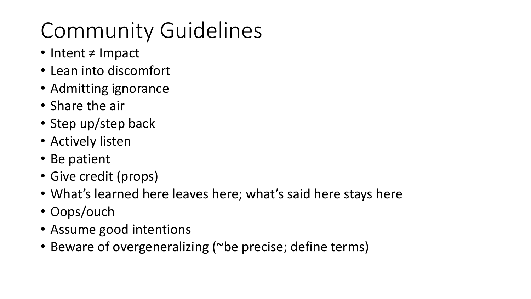# Community Guidelines

- Intent ≠ Impact
- Lean into discomfort
- Admitting ignorance
- Share the air
- Step up/step back
- Actively listen
- Be patient
- Give credit (props)
- What's learned here leaves here; what's said here stays here
- Oops/ouch
- Assume good intentions
- Beware of overgeneralizing (~be precise; define terms)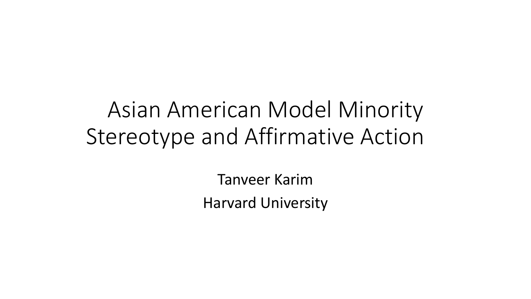# Asian American Model Minority Stereotype and Affirmative Action

Tanveer Karim Harvard University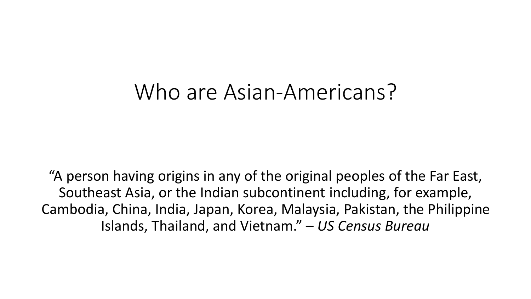### Who are Asian-Americans?

"A person having origins in any of the original peoples of the Far East, Southeast Asia, or the Indian subcontinent including, for example, Cambodia, China, India, Japan, Korea, Malaysia, Pakistan, the Philippine Islands, Thailand, and Vietnam." – *US Census Bureau*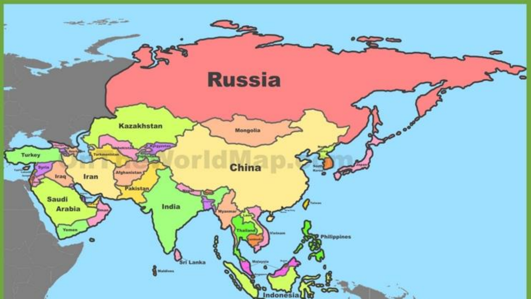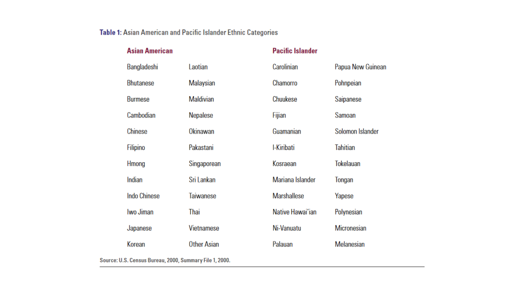#### Table 1: Asian American and Pacific Islander Ethnic Categories

|  | <b>Asian American</b> |                    | <b>Pacific Islander</b> |                    |  |
|--|-----------------------|--------------------|-------------------------|--------------------|--|
|  | Bangladeshi           | Laotian            | Carolinian              | Papua New Guinean  |  |
|  | <b>Bhutanese</b>      | Malaysian          | Chamorro                | Pohnpeian          |  |
|  | <b>Burmese</b>        | <b>Maldivian</b>   | <b>Chuukese</b>         | Saipanese          |  |
|  | Cambodian             | Nepalese           | Fijian                  | Samoan             |  |
|  | <b>Chinese</b>        | Okinawan           | Guamanian               | Solomon Islander   |  |
|  | Filipino              | Pakastani          | I-Kiribati              | <b>Tahitian</b>    |  |
|  | Hmong                 | Singaporean        | Kosraean                | <b>Tokelauan</b>   |  |
|  | Indian                | Sri Lankan         | Mariana Islander        | Tongan             |  |
|  | <b>Indo Chinese</b>   | Taiwanese          | <b>Marshallese</b>      | Yapese             |  |
|  | Iwo Jiman             | Thai               | Native Hawai'ian        | Polynesian         |  |
|  | Japanese              | <b>Vietnamese</b>  | Ni-Vanuatu              | <b>Micronesian</b> |  |
|  | Korean                | <b>Other Asian</b> | Palauan                 | <b>Melanesian</b>  |  |
|  |                       |                    |                         |                    |  |

Source: U.S. Census Bureau, 2000, Summary File 1, 2000.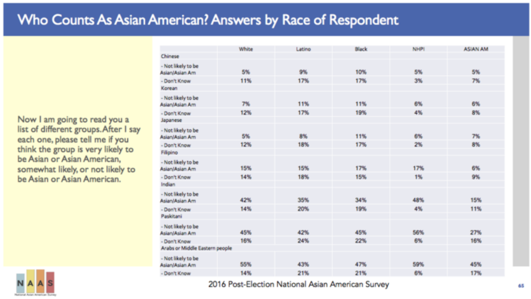#### Who Counts As Asian American? Answers by Race of Respondent

Now I am going to read you a list of different groups. After I say each one, please tell me if you think the group is very likely to be Asian or Asian American, somewhat likely, or not likely to be Asian or Asian American.



|                                      | White | Latino | Black | NHP1 | <b>ASIAN AM</b> |
|--------------------------------------|-------|--------|-------|------|-----------------|
| Chinese                              |       |        |       |      |                 |
| - Not likely to be<br>Asian/Asian Am | 5%    | 9%     | 10%   | 5%   | 5%              |
| - Don't Know                         | 11%   | 17%    | 17%   | 3%   | 7%              |
| Korean                               |       |        |       |      |                 |
| - Not likely to be<br>Asian/Asian Am | 7%    | 11%    | 11%   | 6%   | 6%              |
| - Don't Know                         | 12%   | 17%    | 19%   | 4%   | 8%              |
| Japanese                             |       |        |       |      |                 |
| - Not likely to be<br>Asian/Asian Am | 5%    | 8%     | 11%   | 6%   | 7%              |
| - Don't Know                         | 12%   | 18%    | 17%   | 2%   | 8%              |
| Filipino                             |       |        |       |      |                 |
| - Not likely to be<br>Asian/Asian Am | 15%   | 15%    | 17%   | 17%  | 6%              |
| - Don't Know                         | 14%   | 18%    | 15%   | 1%   | 9%              |
| Indian                               |       |        |       |      |                 |
| - Not likely to be<br>Asian/Asian Am | 42%   | 35%    | 34%   | 48%  | 15%             |
| - Don't Know                         | 14%   | 20%    | 19%   | 4%   | 11%             |
| Paskitani                            |       |        |       |      |                 |
| - Not likely to be<br>Asian/Asian Am | 45%   | 42%    | 45%   | 56%  | 27%             |
| - Don't Know                         | 16%   | 24%    | 22%   | 6%   | 16%             |
| Arabs or Middle Eastern people       |       |        |       |      |                 |
| - Not likely to be<br>Asian/Asian Am | 55%   | 43%    | 47%   | 59%  | 45%             |
| - Don't Know                         | 14%   | 21%    | 21%   | 6%   | 17%             |

2016 Post-Election National Asian American Survey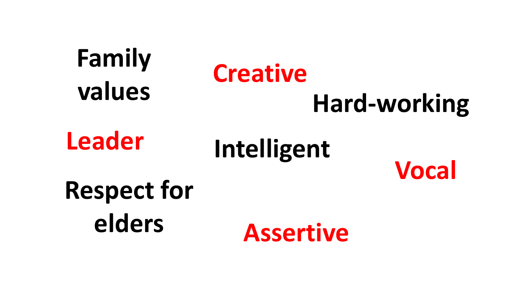### **Family values Hard-working Respect for elders Intelligent Assertive Vocal Leader Creative**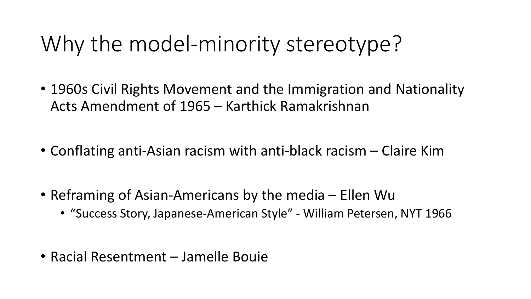# Why the model-minority stereotype?

- 1960s Civil Rights Movement and the Immigration and Nationality Acts Amendment of 1965 – Karthick Ramakrishnan
- Conflating anti-Asian racism with anti-black racism Claire Kim
- Reframing of Asian-Americans by the media Ellen Wu
	- "Success Story, Japanese-American Style" William Petersen, NYT 1966
- Racial Resentment Jamelle Bouie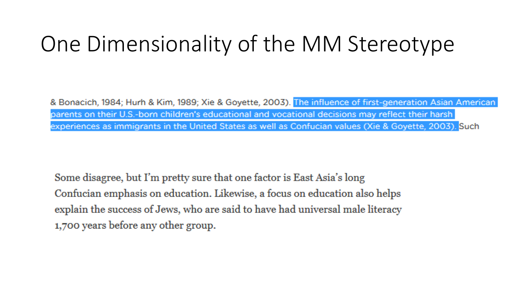# One Dimensionality of the MM Stereotype

& Bonacich, 1984; Hurh & Kim, 1989; Xie & Goyette, 2003). The influence of first-generation Asian American parents on their U.S.-born children's educational and vocational decisions may reflect their harsh experiences as immigrants in the United States as well as Confucian values (Xie & Goyette, 2003). Such

Some disagree, but I'm pretty sure that one factor is East Asia's long Confucian emphasis on education. Likewise, a focus on education also helps explain the success of Jews, who are said to have had universal male literacy 1,700 years before any other group.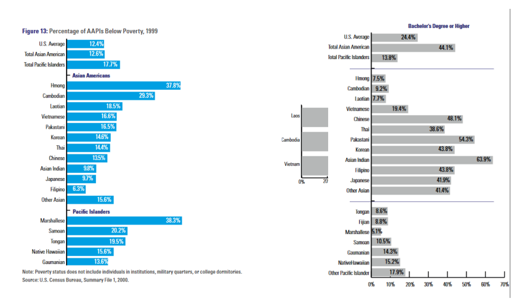#### **Bachelor's Degree or Higher**



Note: Poverty status does not include individuals in institutions, military quarters, or college dormitories. Source: U.S. Census Bureau, Summary File 1, 2000.

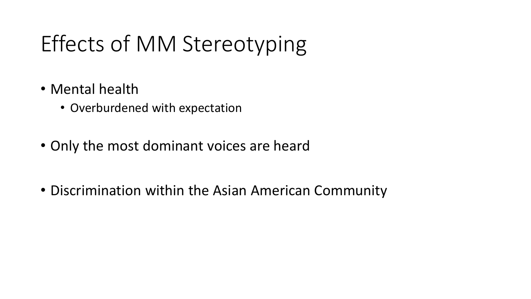# Effects of MM Stereotyping

- Mental health
	- Overburdened with expectation
- Only the most dominant voices are heard
- Discrimination within the Asian American Community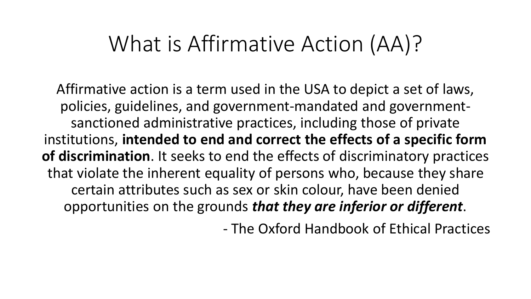## What is Affirmative Action (AA)?

Affirmative action is a term used in the USA to depict a set of laws, policies, guidelines, and government-mandated and governmentsanctioned administrative practices, including those of private institutions, **intended to end and correct the effects of a specific form of discrimination**. It seeks to end the effects of discriminatory practices that violate the inherent equality of persons who, because they share certain attributes such as sex or skin colour, have been denied opportunities on the grounds *that they are inferior or different*.

- The Oxford Handbook of Ethical Practices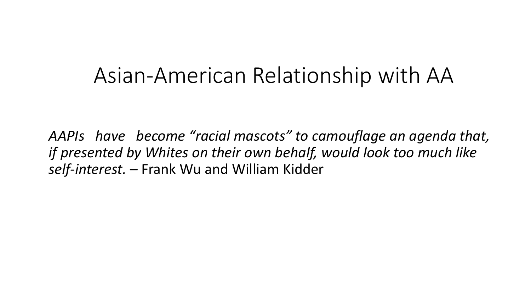### Asian-American Relationship with AA

*AAPIs have become "racial mascots" to camouflage an agenda that, if presented by Whites on their own behalf, would look too much like self-interest.* – Frank Wu and William Kidder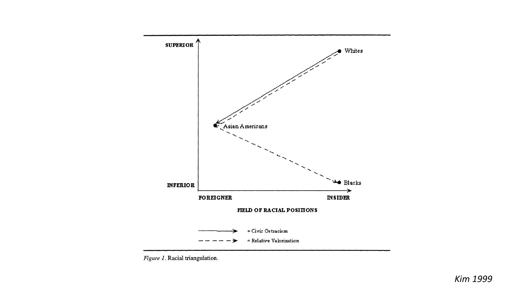

Figure 1. Racial triangulation.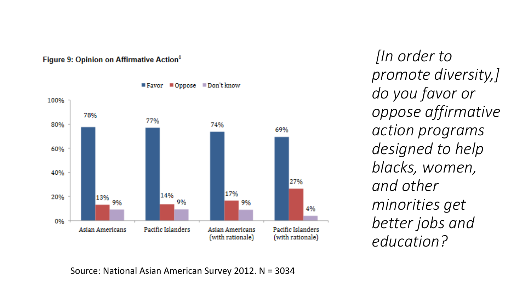

#### Figure 9: Opinion on Affirmative Action<sup>8</sup>

*[In order to promote diversity,] do you favor or oppose affirmative action programs designed to help blacks, women, and other minorities get better jobs and education?*

Source: National Asian American Survey 2012. N = 3034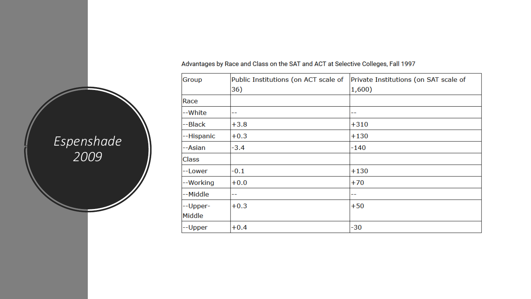| Group        | Public Institutions (on ACT scale of | Private Institutions (on SAT scale of |
|--------------|--------------------------------------|---------------------------------------|
|              | 36)                                  | 1,600)                                |
| Race         |                                      |                                       |
| --White      | --                                   | --                                    |
| --Black      | $+3.8$                               | $+310$                                |
| --Hispanic   | $+0.3$                               | $+130$                                |
| --Asian      | $-3.4$                               | $-140$                                |
| <b>Class</b> |                                      |                                       |
| --Lower      | $-0.1$                               | $+130$                                |
| --Working    | $+0.0$                               | $+70$                                 |
| --Middle     | --                                   | --                                    |
| --Upper-     | $+0.3$                               | $+50$                                 |
| Middle       |                                      |                                       |
| --Upper      | $+0.4$                               | -30                                   |

Advantages by Race and Class on the SAT and ACT at Selective Colleges, Fall 1997

#### *Espenshade 2009*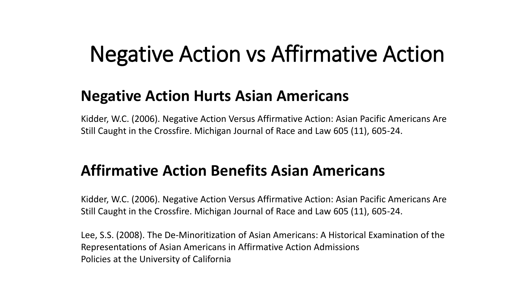## Negative Action vs Affirmative Action

#### **Negative Action Hurts Asian Americans**

Kidder, W.C. (2006). Negative Action Versus Affirmative Action: Asian Pacific Americans Are Still Caught in the Crossfire. Michigan Journal of Race and Law 605 (11), 605-24.

#### **Affirmative Action Benefits Asian Americans**

Kidder, W.C. (2006). Negative Action Versus Affirmative Action: Asian Pacific Americans Are Still Caught in the Crossfire. Michigan Journal of Race and Law 605 (11), 605-24.

Lee, S.S. (2008). The De-Minoritization of Asian Americans: A Historical Examination of the Representations of Asian Americans in Affirmative Action Admissions Policies at the University of California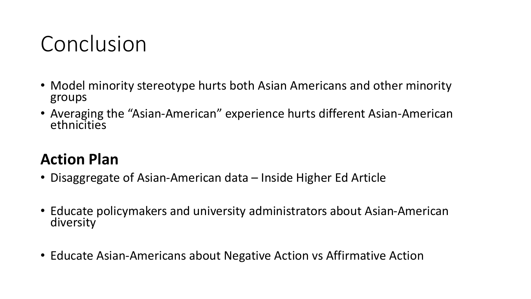## Conclusion

- Model minority stereotype hurts both Asian Americans and other minority groups
- Averaging the "Asian-American" experience hurts different Asian-American ethnicities

#### **Action Plan**

- Disaggregate of Asian-American data Inside Higher Ed Article
- Educate policymakers and university administrators about Asian-American diversity
- Educate Asian-Americans about Negative Action vs Affirmative Action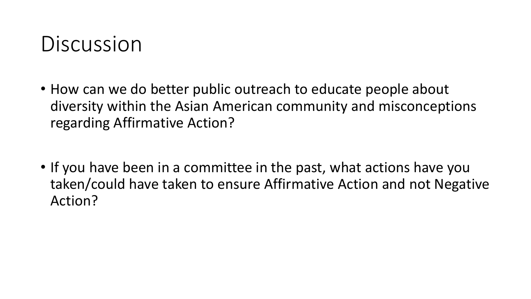## Discussion

- How can we do better public outreach to educate people about diversity within the Asian American community and misconceptions regarding Affirmative Action?
- If you have been in a committee in the past, what actions have you taken/could have taken to ensure Affirmative Action and not Negative Action?